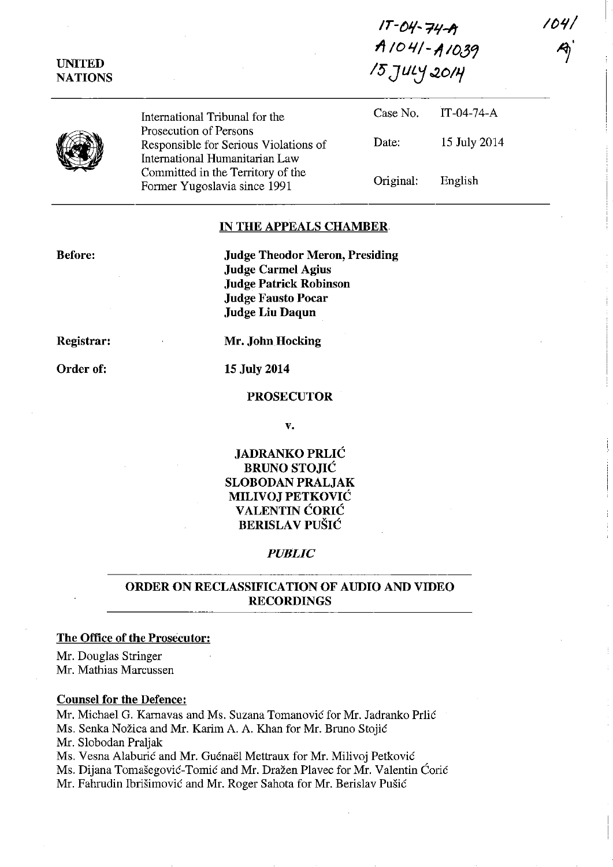**IT** -()J/~ **':ill-lt**  *1/ 10* **'1/ - <sup>11</sup>***10J'*  **/5** *JllLj ..201J/* 

**IfYI/** 

 $\gamma$ 

|--|

**UNITED NATIONS** 

> International Tribunal for the Prosecution of Persons Responsible for Serious Violations of International Humanitarian Law Committed in the Territory of the Former Yugoslavia since 1991

| Case No.  | $IT-04-74-A$ |
|-----------|--------------|
| Date:     | 15 July 2014 |
| Original: | English      |

### **IN THE APPEALS CHAMBER**

**Before:** 

**Judge Theodor Merou, Presiding Judge Carmel Agius Judge Patrick Robinson Judge Fausto Pocar Judge Liu Daqun** 

**Registrar:** 

Order of:

**15 July 2014** 

**Mr. John Hocking** 

#### **PROSECUTOR**

v.

# **JADRANKO PRLIC BRUNO STOJIC SLOBODAN PRALJAK MILIVOJ PETKOVIC VALENTIN CORIC BERISLAV PUŠIĆ**

#### *PUBLIC*

# **ORDER ON RECLASSIFICATION OF AUDIO AND VIDEO RECORDINGS**

## **The Office of the Prosecutor:**

Mr. Douglas Stringer Mr. Mathias Marcussen

### **Counsel for the Defence:**

Mr. Michael G. Karnavas and Ms. Suzana Tomanović for Mr. Jadranko Prlić Ms. Senka Nožica and Mr. Karim A. A. Khan for Mr. Bruno Stojić Mr. Slobodan Praljak Ms. Vesna Alaburić and Mr. Guénaël Mettraux for Mr. Milivoj Petković Ms. Dijana Tomašegović-Tomić and Mr. Dražen Plavec for Mr. Valentin Ćorić Mr. Fahrudin Ibrišimović and Mr. Roger Sahota for Mr. Berislav Pušić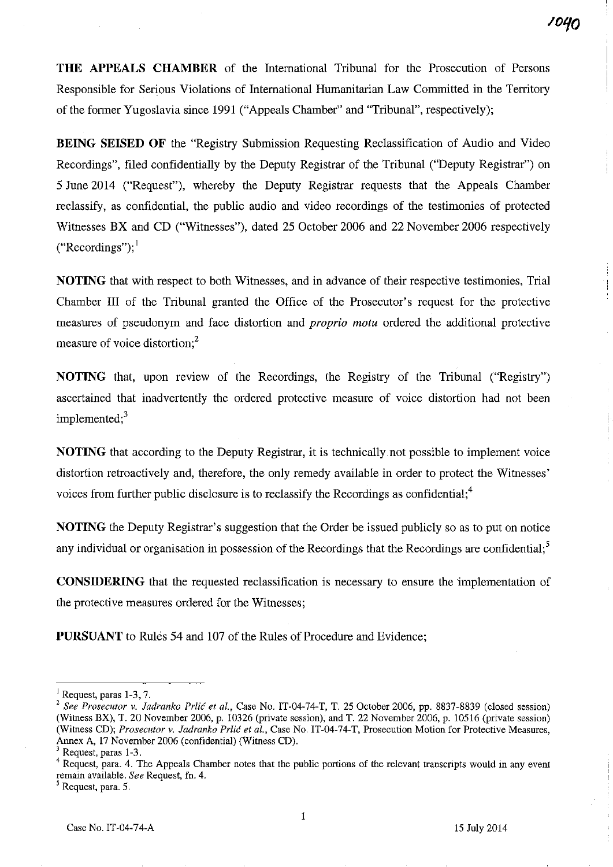**THE APPEALS CHAMBER** of the International Tribunal for the Prosecution of Persons Responsible for Serious Violations of International Humanitarian Law Committed in the Territory of the former Yugoslavia since 1991 ("Appeals Chamber" and "Tribunal", respectively);

**BEING SEISED OF** the "Registry Submission Requesting Reclassification of Audio and Video Recordings", filed confidentially by the Deputy Registrar of the Tribunal ("Deputy Registrar") on 5 June 2014 ("Request"), whereby the Deputy Registrar requests that the Appeals Chamber reclassify, as confidential, the public audio and video recordings of the testimonies of protected Witnesses BX and CD ("Witnesses"), dated 25 October 2006 and 22 November 2006 respectively  $("Recordings")$ ;

**NOTING** that with respect to both Witnesses, and in advance of their respective testimonies, Trial Chamber III of the Tribunal granted the Office of the Prosecutor's request for the protective measures of pseudonym and face distortion and *proprio motu* ordered the additional protective measure of voice distortion;<sup>2</sup>

**NOTING** that, upon review of the Recordings, the Registry of the Tribunal ("Registry") ascertained that inadvertently the ordered protective measure of voice distortion had not been implemented: $3$ 

**NOTING** that according to the Deputy Registrar, it is technically not possible to implement voice distortion retroactively and, therefore, the only remedy available in order to protect the Witnesses' voices from further public disclosure is to reclassify the Recordings as confidential;<sup>4</sup>

**NOTING** the Deputy Registrar's suggestion that the Order be issued publicly so as to put on notice any individual or organisation in possession of the Recordings that the Recordings are confidential;<sup>5</sup>

**CONSIDERING** that the requested reclassification is necessary to ensure the implementation of the protective measures ordered for the Witnesses;

**PURSUANT** to Rules 54 and 107 of the Rules of Procedure and Evidence;

 $<sup>1</sup>$  Request, paras 1-3, 7.</sup>

<sup>&</sup>lt;sup>2</sup> See Prosecutor v. Jadranko Prlić et al., Case No. IT-04-74-T, T. 25 October 2006, pp. 8837-8839 (closed session) (Witness BX), T. 20 November 2006, p. 10326 (private session), and T. 22 November 2006, p. 10516 (private session) (Witness CD); *Prosecutor v. ladranko Prlic et ai.,* Case No. IT-04-74-T, Prosecution Motion for Protective Measures, Annex A, 17 November 2006 (confidential) (Witness CD).

Request, paras 1-3.

<sup>&</sup>lt;sup>4</sup> Request, para. 4. The Appeals Chamber notes that the public portions of the relevant transcripts would in any event remain available. *See* Request, fn. 4.

<sup>5</sup> Request, para. 5.